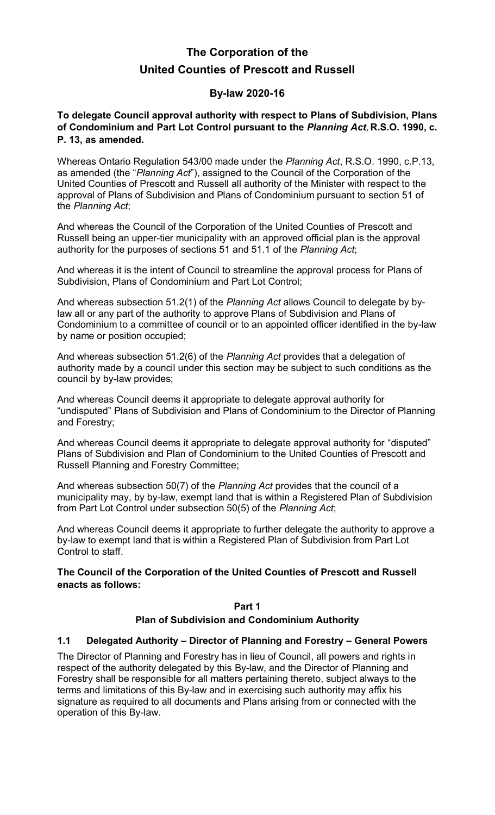# **The Corporation of the United Counties of Prescott and Russell**

## **By-law 2020-16**

**To delegate Council approval authority with respect to Plans of Subdivision, Plans of Condominium and Part Lot Control pursuant to the** *Planning Act*, **R.S.O. 1990, c. P. 13, as amended.** 

Whereas Ontario Regulation 543/00 made under the *Planning Act*, R.S.O. 1990, c.P.13, as amended (the "*Planning Act*"), assigned to the Council of the Corporation of the United Counties of Prescott and Russell all authority of the Minister with respect to the approval of Plans of Subdivision and Plans of Condominium pursuant to section 51 of the *Planning Act*;

And whereas the Council of the Corporation of the United Counties of Prescott and Russell being an upper-tier municipality with an approved official plan is the approval authority for the purposes of sections 51 and 51.1 of the *Planning Act*;

And whereas it is the intent of Council to streamline the approval process for Plans of Subdivision, Plans of Condominium and Part Lot Control;

And whereas subsection 51.2(1) of the *Planning Act* allows Council to delegate by bylaw all or any part of the authority to approve Plans of Subdivision and Plans of Condominium to a committee of council or to an appointed officer identified in the by-law by name or position occupied;

And whereas subsection 51.2(6) of the *Planning Act* provides that a delegation of authority made by a council under this section may be subject to such conditions as the council by by-law provides;

And whereas Council deems it appropriate to delegate approval authority for "undisputed" Plans of Subdivision and Plans of Condominium to the Director of Planning and Forestry;

And whereas Council deems it appropriate to delegate approval authority for "disputed" Plans of Subdivision and Plan of Condominium to the United Counties of Prescott and Russell Planning and Forestry Committee;

And whereas subsection 50(7) of the *Planning Act* provides that the council of a municipality may, by by-law, exempt land that is within a Registered Plan of Subdivision from Part Lot Control under subsection 50(5) of the *Planning Act*;

And whereas Council deems it appropriate to further delegate the authority to approve a by-law to exempt land that is within a Registered Plan of Subdivision from Part Lot Control to staff.

#### **The Council of the Corporation of the United Counties of Prescott and Russell enacts as follows:**

#### **Part 1**

#### **Plan of Subdivision and Condominium Authority**

#### **1.1 Delegated Authority – Director of Planning and Forestry – General Powers**

The Director of Planning and Forestry has in lieu of Council, all powers and rights in respect of the authority delegated by this By-law, and the Director of Planning and Forestry shall be responsible for all matters pertaining thereto, subject always to the terms and limitations of this By-law and in exercising such authority may affix his signature as required to all documents and Plans arising from or connected with the operation of this By-law.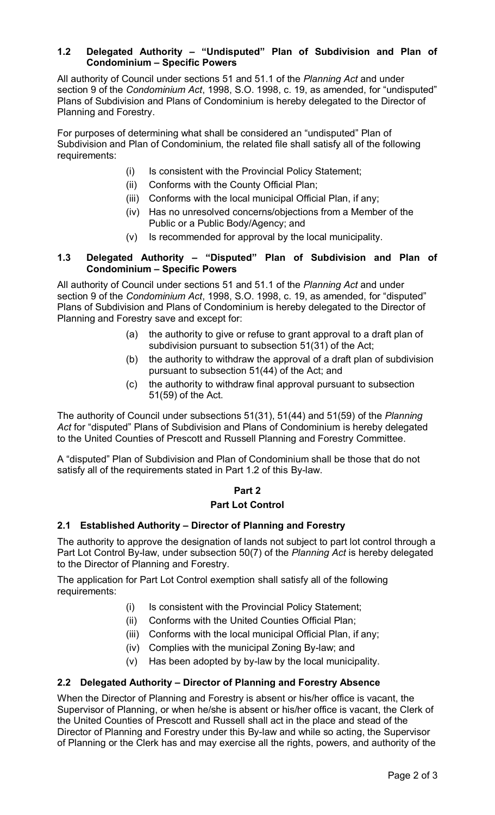#### **1.2 Delegated Authority – "Undisputed" Plan of Subdivision and Plan of Condominium – Specific Powers**

All authority of Council under sections 51 and 51.1 of the *Planning Act* and under section 9 of the *Condominium Act*, 1998, S.O. 1998, c. 19, as amended, for "undisputed" Plans of Subdivision and Plans of Condominium is hereby delegated to the Director of Planning and Forestry.

For purposes of determining what shall be considered an "undisputed" Plan of Subdivision and Plan of Condominium, the related file shall satisfy all of the following requirements:

- (i) Is consistent with the Provincial Policy Statement;
- (ii) Conforms with the County Official Plan;
- (iii) Conforms with the local municipal Official Plan, if any;
- (iv) Has no unresolved concerns/objections from a Member of the Public or a Public Body/Agency; and
- (v) Is recommended for approval by the local municipality.

#### **1.3 Delegated Authority – "Disputed" Plan of Subdivision and Plan of Condominium – Specific Powers**

All authority of Council under sections 51 and 51.1 of the *Planning Act* and under section 9 of the *Condominium Act*, 1998, S.O. 1998, c. 19, as amended, for "disputed" Plans of Subdivision and Plans of Condominium is hereby delegated to the Director of Planning and Forestry save and except for:

- (a) the authority to give or refuse to grant approval to a draft plan of subdivision pursuant to subsection 51(31) of the Act;
- (b) the authority to withdraw the approval of a draft plan of subdivision pursuant to subsection 51(44) of the Act; and
- (c) the authority to withdraw final approval pursuant to subsection 51(59) of the Act.

The authority of Council under subsections 51(31), 51(44) and 51(59) of the *Planning Act* for "disputed" Plans of Subdivision and Plans of Condominium is hereby delegated to the United Counties of Prescott and Russell Planning and Forestry Committee.

A "disputed" Plan of Subdivision and Plan of Condominium shall be those that do not satisfy all of the requirements stated in Part 1.2 of this By-law.

#### **Part 2 Part Lot Control**

## **2.1 Established Authority – Director of Planning and Forestry**

The authority to approve the designation of lands not subject to part lot control through a Part Lot Control By-law, under subsection 50(7) of the *Planning Act* is hereby delegated to the Director of Planning and Forestry.

The application for Part Lot Control exemption shall satisfy all of the following requirements:

- (i) Is consistent with the Provincial Policy Statement;
- (ii) Conforms with the United Counties Official Plan;
- (iii) Conforms with the local municipal Official Plan, if any;
- (iv) Complies with the municipal Zoning By-law; and
- (v) Has been adopted by by-law by the local municipality.

#### **2.2 Delegated Authority – Director of Planning and Forestry Absence**

When the Director of Planning and Forestry is absent or his/her office is vacant, the Supervisor of Planning, or when he/she is absent or his/her office is vacant, the Clerk of the United Counties of Prescott and Russell shall act in the place and stead of the Director of Planning and Forestry under this By-law and while so acting, the Supervisor of Planning or the Clerk has and may exercise all the rights, powers, and authority of the